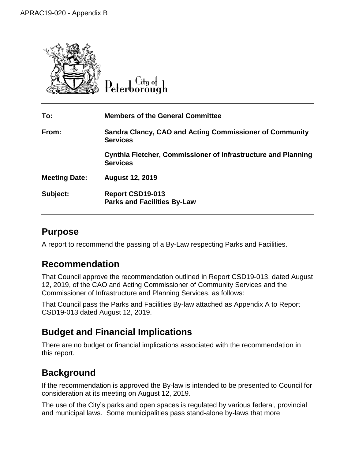

City of

| To:                  | <b>Members of the General Committee</b>                                          |
|----------------------|----------------------------------------------------------------------------------|
| From:                | Sandra Clancy, CAO and Acting Commissioner of Community<br><b>Services</b>       |
|                      | Cynthia Fletcher, Commissioner of Infrastructure and Planning<br><b>Services</b> |
| <b>Meeting Date:</b> | <b>August 12, 2019</b>                                                           |
| Subject:             | Report CSD19-013<br><b>Parks and Facilities By-Law</b>                           |

## **Purpose**

A report to recommend the passing of a By-Law respecting Parks and Facilities.

## **Recommendation**

That Council approve the recommendation outlined in Report CSD19-013, dated August 12, 2019, of the CAO and Acting Commissioner of Community Services and the Commissioner of Infrastructure and Planning Services, as follows:

That Council pass the Parks and Facilities By-law attached as Appendix A to Report CSD19-013 dated August 12, 2019.

# **Budget and Financial Implications**

There are no budget or financial implications associated with the recommendation in this report.

# **Background**

If the recommendation is approved the By-law is intended to be presented to Council for consideration at its meeting on August 12, 2019.

The use of the City's parks and open spaces is regulated by various federal, provincial and municipal laws. Some municipalities pass stand-alone by-laws that more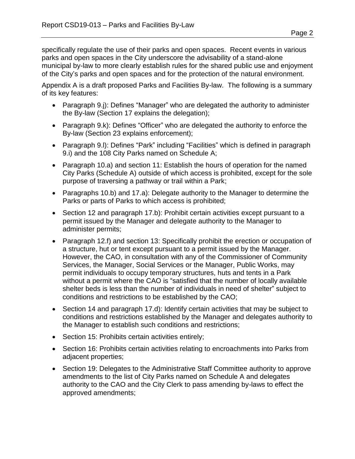specifically regulate the use of their parks and open spaces. Recent events in various parks and open spaces in the City underscore the advisability of a stand-alone municipal by-law to more clearly establish rules for the shared public use and enjoyment of the City's parks and open spaces and for the protection of the natural environment.

Appendix A is a draft proposed Parks and Facilities By-law. The following is a summary of its key features:

- Paragraph 9.j): Defines "Manager" who are delegated the authority to administer the By-law (Section 17 explains the delegation);
- Paragraph 9.k): Defines "Officer" who are delegated the authority to enforce the By-law (Section 23 explains enforcement);
- Paragraph 9.I): Defines "Park" including "Facilities" which is defined in paragraph 9.i) and the 108 City Parks named on Schedule A;
- Paragraph 10.a) and section 11: Establish the hours of operation for the named City Parks (Schedule A) outside of which access is prohibited, except for the sole purpose of traversing a pathway or trail within a Park;
- Paragraphs 10.b) and 17.a): Delegate authority to the Manager to determine the Parks or parts of Parks to which access is prohibited;
- Section 12 and paragraph 17.b): Prohibit certain activities except pursuant to a permit issued by the Manager and delegate authority to the Manager to administer permits;
- Paragraph 12.f) and section 13: Specifically prohibit the erection or occupation of a structure, hut or tent except pursuant to a permit issued by the Manager. However, the CAO, in consultation with any of the Commissioner of Community Services, the Manager, Social Services or the Manager, Public Works, may permit individuals to occupy temporary structures, huts and tents in a Park without a permit where the CAO is "satisfied that the number of locally available shelter beds is less than the number of individuals in need of shelter" subject to conditions and restrictions to be established by the CAO;
- Section 14 and paragraph 17.d): Identify certain activities that may be subject to conditions and restrictions established by the Manager and delegates authority to the Manager to establish such conditions and restrictions;
- Section 15: Prohibits certain activities entirely;
- Section 16: Prohibits certain activities relating to encroachments into Parks from adjacent properties;
- Section 19: Delegates to the Administrative Staff Committee authority to approve amendments to the list of City Parks named on Schedule A and delegates authority to the CAO and the City Clerk to pass amending by-laws to effect the approved amendments;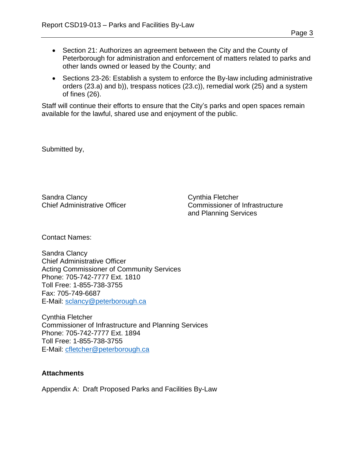- Section 21: Authorizes an agreement between the City and the County of Peterborough for administration and enforcement of matters related to parks and other lands owned or leased by the County; and
- Sections 23-26: Establish a system to enforce the By-law including administrative orders (23.a) and b)), trespass notices (23.c)), remedial work (25) and a system of fines (26).

Staff will continue their efforts to ensure that the City's parks and open spaces remain available for the lawful, shared use and enjoyment of the public.

Submitted by,

Sandra Clancy **Cynthia Fletcher** 

Chief Administrative Officer Commissioner of Infrastructure and Planning Services

Contact Names:

Sandra Clancy Chief Administrative Officer Acting Commissioner of Community Services Phone: 705-742-7777 Ext. 1810 Toll Free: 1-855-738-3755 Fax: 705-749-6687 E-Mail: [sclancy@peterborough.ca](mailto:slancy@peterborough.ca)

Cynthia Fletcher Commissioner of Infrastructure and Planning Services Phone: 705-742-7777 Ext. 1894 Toll Free: 1-855-738-3755 E-Mail: [cfletcher@peterborough.ca](mailto:cfletcher@peterborough.ca)

#### **Attachments**

Appendix A: Draft Proposed Parks and Facilities By-Law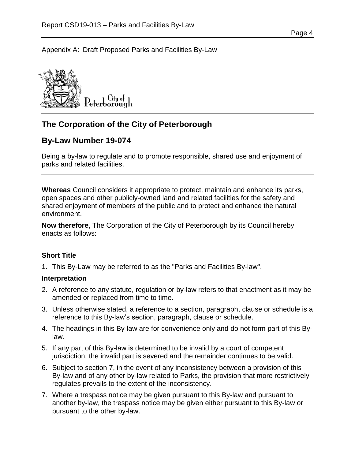Appendix A: Draft Proposed Parks and Facilities By-Law



## **The Corporation of the City of Peterborough**

## **By-Law Number 19-074**

Being a by-law to regulate and to promote responsible, shared use and enjoyment of parks and related facilities.

**Whereas** Council considers it appropriate to protect, maintain and enhance its parks, open spaces and other publicly-owned land and related facilities for the safety and shared enjoyment of members of the public and to protect and enhance the natural environment.

**Now therefore**, The Corporation of the City of Peterborough by its Council hereby enacts as follows:

#### **Short Title**

1. This By-Law may be referred to as the "Parks and Facilities By-law".

#### **Interpretation**

- 2. A reference to any statute, regulation or by-law refers to that enactment as it may be amended or replaced from time to time.
- 3. Unless otherwise stated, a reference to a section, paragraph, clause or schedule is a reference to this By-law's section, paragraph, clause or schedule.
- 4. The headings in this By-law are for convenience only and do not form part of this Bylaw.
- 5. If any part of this By-law is determined to be invalid by a court of competent jurisdiction, the invalid part is severed and the remainder continues to be valid.
- 6. Subject to section [7,](#page-3-0) in the event of any inconsistency between a provision of this By-law and of any other by-law related to Parks, the provision that more restrictively regulates prevails to the extent of the inconsistency.
- <span id="page-3-0"></span>7. Where a trespass notice may be given pursuant to this By-law and pursuant to another by-law, the trespass notice may be given either pursuant to this By-law or pursuant to the other by-law.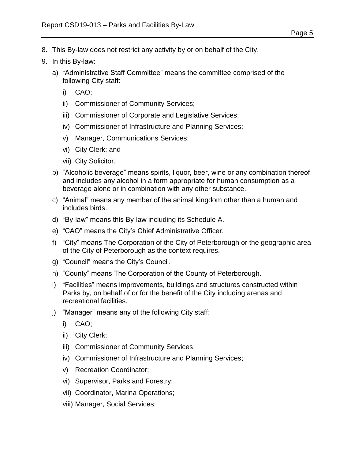- 8. This By-law does not restrict any activity by or on behalf of the City.
- 9. In this By-law:
	- a) "Administrative Staff Committee" means the committee comprised of the following City staff:
		- i) CAO;
		- ii) Commissioner of Community Services;
		- iii) Commissioner of Corporate and Legislative Services;
		- iv) Commissioner of Infrastructure and Planning Services;
		- v) Manager, Communications Services;
		- vi) City Clerk; and
		- vii) City Solicitor.
	- b) "Alcoholic beverage" means spirits, liquor, beer, wine or any combination thereof and includes any alcohol in a form appropriate for human consumption as a beverage alone or in combination with any other substance.
	- c) "Animal" means any member of the animal kingdom other than a human and includes birds.
	- d) "By-law" means this By-law including its Schedule A.
	- e) "CAO" means the City's Chief Administrative Officer.
	- f) "City" means The Corporation of the City of Peterborough or the geographic area of the City of Peterborough as the context requires.
	- g) "Council" means the City's Council.
	- h) "County" means The Corporation of the County of Peterborough.
	- i) "Facilities" means improvements, buildings and structures constructed within Parks by, on behalf of or for the benefit of the City including arenas and recreational facilities.
	- j) "Manager" means any of the following City staff:
		- i) CAO;
		- ii) City Clerk;
		- iii) Commissioner of Community Services;
		- iv) Commissioner of Infrastructure and Planning Services;
		- v) Recreation Coordinator;
		- vi) Supervisor, Parks and Forestry;
		- vii) Coordinator, Marina Operations;
		- viii) Manager, Social Services;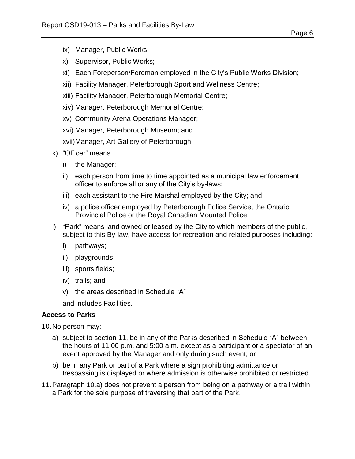- <span id="page-5-3"></span>ix) Manager, Public Works;
- x) Supervisor, Public Works;
- xi) Each Foreperson/Foreman employed in the City's Public Works Division;
- xii) Facility Manager, Peterborough Sport and Wellness Centre;
- xiii) Facility Manager, Peterborough Memorial Centre;
- xiv) Manager, Peterborough Memorial Centre;
- xv) Community Arena Operations Manager;
- xvi) Manager, Peterborough Museum; and
- xvii)Manager, Art Gallery of Peterborough.
- k) "Officer" means
	- i) the Manager;
	- ii) each person from time to time appointed as a municipal law enforcement officer to enforce all or any of the City's by-laws;
	- iii) each assistant to the Fire Marshal employed by the City; and
	- iv) a police officer employed by Peterborough Police Service, the Ontario Provincial Police or the Royal Canadian Mounted Police;
- l) "Park" means land owned or leased by the City to which members of the public, subject to this By-law, have access for recreation and related purposes including:
	- i) pathways;
	- ii) playgrounds;
	- iii) sports fields;
	- iv) trails; and
	- v) the areas described in Schedule "A"

and includes Facilities.

## <span id="page-5-4"></span>**Access to Parks**

<span id="page-5-1"></span>10.No person may:

- a) subject to section [11,](#page-5-0) be in any of the Parks described in Schedule "A" between the hours of 11:00 p.m. and 5:00 a.m. except as a participant or a spectator of an event approved by the Manager and only during such event; or
- <span id="page-5-2"></span>b) be in any Park or part of a Park where a sign prohibiting admittance or trespassing is displayed or where admission is otherwise prohibited or restricted.
- <span id="page-5-0"></span>11.Paragraph [10.a\)](#page-5-1) does not prevent a person from being on a pathway or a trail within a Park for the sole purpose of traversing that part of the Park.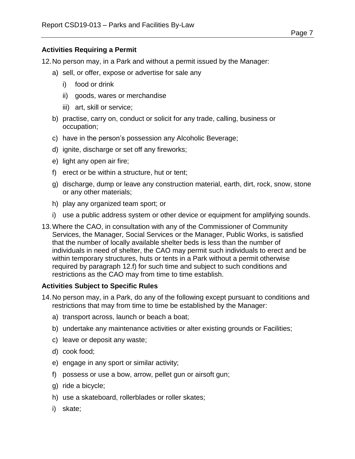#### **Activities Requiring a Permit**

12.No person may, in a Park and without a permit issued by the Manager:

- a) sell, or offer, expose or advertise for sale any
	- i) food or drink
	- ii) goods, wares or merchandise
	- iii) art, skill or service;
- b) practise, carry on, conduct or solicit for any trade, calling, business or occupation;
- c) have in the person's possession any Alcoholic Beverage;
- d) ignite, discharge or set off any fireworks;
- e) light any open air fire;
- <span id="page-6-0"></span>f) erect or be within a structure, hut or tent;
- g) discharge, dump or leave any construction material, earth, dirt, rock, snow, stone or any other materials;
- h) play any organized team sport; or
- i) use a public address system or other device or equipment for amplifying sounds.
- <span id="page-6-1"></span>13.Where the CAO, in consultation with any of the Commissioner of Community Services, the Manager, Social Services or the Manager, Public Works, is satisfied that the number of locally available shelter beds is less than the number of individuals in need of shelter, the CAO may permit such individuals to erect and be within temporary structures, huts or tents in a Park without a permit otherwise required by paragraph [12.f\)](#page-6-0) for such time and subject to such conditions and restrictions as the CAO may from time to time establish.

#### **Activities Subject to Specific Rules**

- <span id="page-6-2"></span>14.No person may, in a Park, do any of the following except pursuant to conditions and restrictions that may from time to time be established by the Manager:
	- a) transport across, launch or beach a boat;
	- b) undertake any maintenance activities or alter existing grounds or Facilities;
	- c) leave or deposit any waste;
	- d) cook food;
	- e) engage in any sport or similar activity;
	- f) possess or use a bow, arrow, pellet gun or airsoft gun;
	- g) ride a bicycle;
	- h) use a skateboard, rollerblades or roller skates;
	- i) skate;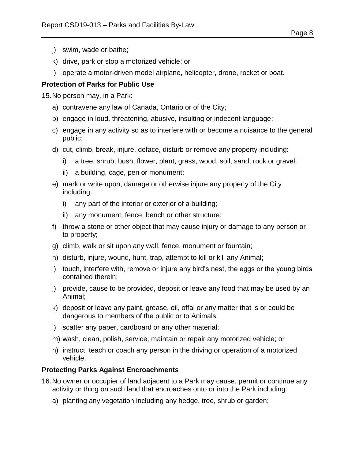- j) swim, wade or bathe;
- k) drive, park or stop a motorized vehicle; or
- l) operate a motor-driven model airplane, helicopter, drone, rocket or boat.

## **Protection of Parks for Public Use**

15.No person may, in a Park:

- a) contravene any law of Canada, Ontario or of the City;
- b) engage in loud, threatening, abusive, insulting or indecent language;
- c) engage in any activity so as to interfere with or become a nuisance to the general public;
- d) cut, climb, break, injure, deface, disturb or remove any property including:
	- i) a tree, shrub, bush, flower, plant, grass, wood, soil, sand, rock or gravel;
	- ii) a building, cage, pen or monument;
- e) mark or write upon, damage or otherwise injure any property of the City including:
	- i) any part of the interior or exterior of a building;
	- ii) any monument, fence, bench or other structure;
- f) throw a stone or other object that may cause injury or damage to any person or to property;
- g) climb, walk or sit upon any wall, fence, monument or fountain;
- h) disturb, injure, wound, hunt, trap, attempt to kill or kill any Animal;
- i) touch, interfere with, remove or injure any bird's nest, the eggs or the young birds contained therein;
- j) provide, cause to be provided, deposit or leave any food that may be used by an Animal;
- k) deposit or leave any paint, grease, oil, offal or any matter that is or could be dangerous to members of the public or to Animals;
- l) scatter any paper, cardboard or any other material;
- m) wash, clean, polish, service, maintain or repair any motorized vehicle; or
- n) instruct, teach or coach any person in the driving or operation of a motorized vehicle.

## **Protecting Parks Against Encroachments**

- 16.No owner or occupier of land adjacent to a Park may cause, permit or continue any activity or thing on such land that encroaches onto or into the Park including:
	- a) planting any vegetation including any hedge, tree, shrub or garden;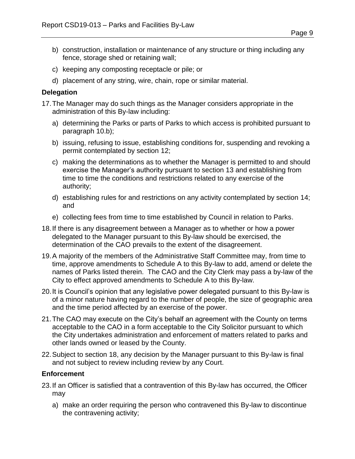- b) construction, installation or maintenance of any structure or thing including any fence, storage shed or retaining wall;
- c) keeping any composting receptacle or pile; or
- d) placement of any string, wire, chain, rope or similar material.

#### **Delegation**

- 17.The Manager may do such things as the Manager considers appropriate in the administration of this By-law including:
	- a) determining the Parks or parts of Parks to which access is prohibited pursuant to paragraph [10.b\);](#page-5-2)
	- b) issuing, refusing to issue, establishing conditions for, suspending and revoking a permit contemplated by section [12;](#page-5-3)
	- c) making the determinations as to whether the Manager is permitted to and should exercise the Manager's authority pursuant to section [13](#page-6-1) and establishing from time to time the conditions and restrictions related to any exercise of the authority;
	- d) establishing rules for and restrictions on any activity contemplated by section [14;](#page-6-2) and
	- e) collecting fees from time to time established by Council in relation to Parks.
- <span id="page-8-0"></span>18.If there is any disagreement between a Manager as to whether or how a power delegated to the Manager pursuant to this By-law should be exercised, the determination of the CAO prevails to the extent of the disagreement.
- 19.A majority of the members of the Administrative Staff Committee may, from time to time, approve amendments to Schedule A to this By-law to add, amend or delete the names of Parks listed therein. The CAO and the City Clerk may pass a by-law of the City to effect approved amendments to Schedule A to this By-law.
- 20.It is Council's opinion that any legislative power delegated pursuant to this By-law is of a minor nature having regard to the number of people, the size of geographic area and the time period affected by an exercise of the power.
- 21.The CAO may execute on the City's behalf an agreement with the County on terms acceptable to the CAO in a form acceptable to the City Solicitor pursuant to which the City undertakes administration and enforcement of matters related to parks and other lands owned or leased by the County.
- 22.Subject to section [18,](#page-8-0) any decision by the Manager pursuant to this By-law is final and not subject to review including review by any Court.

#### **Enforcement**

- <span id="page-8-1"></span>23.If an Officer is satisfied that a contravention of this By-law has occurred, the Officer may
	- a) make an order requiring the person who contravened this By-law to discontinue the contravening activity;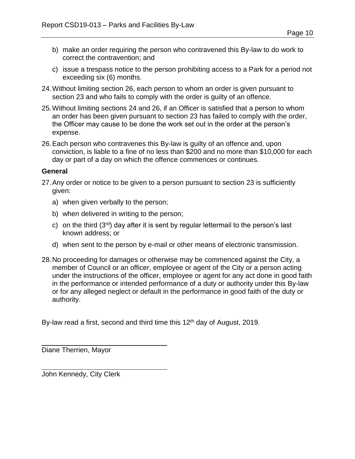- b) make an order requiring the person who contravened this By-law to do work to correct the contravention; and
- c) issue a trespass notice to the person prohibiting access to a Park for a period not exceeding six (6) months.
- <span id="page-9-1"></span>24.Without limiting section [26,](#page-9-0) each person to whom an order is given pursuant to section [23](#page-8-1) and who fails to comply with the order is guilty of an offence.
- 25.Without limiting sections [24](#page-9-1) and [26,](#page-9-0) if an Officer is satisfied that a person to whom an order has been given pursuant to section [23](#page-8-1) has failed to comply with the order, the Officer may cause to be done the work set out in the order at the person's expense.
- <span id="page-9-0"></span>26.Each person who contravenes this By-law is guilty of an offence and, upon conviction, is liable to a fine of no less than \$200 and no more than \$10,000 for each day or part of a day on which the offence commences or continues.

#### **General**

- 27.Any order or notice to be given to a person pursuant to section [23](#page-8-1) is sufficiently given:
	- a) when given verbally to the person;
	- b) when delivered in writing to the person;
	- c) on the third  $(3<sup>rd</sup>)$  day after it is sent by regular lettermail to the person's last known address; or
	- d) when sent to the person by e-mail or other means of electronic transmission.
- 28.No proceeding for damages or otherwise may be commenced against the City, a member of Council or an officer, employee or agent of the City or a person acting under the instructions of the officer, employee or agent for any act done in good faith in the performance or intended performance of a duty or authority under this By-law or for any alleged neglect or default in the performance in good faith of the duty or authority.

By-law read a first, second and third time this 12<sup>th</sup> day of August, 2019.

Diane Therrien, Mayor

John Kennedy, City Clerk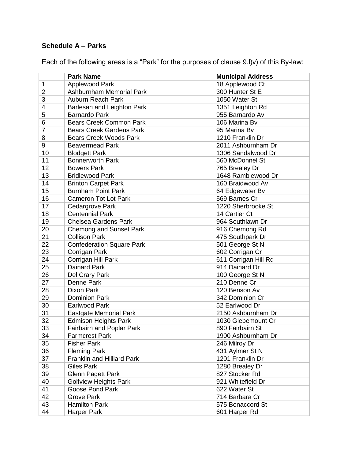## **Schedule A – Parks**

Each of the following areas is a "Park" for the purposes of clause [9.l\)v\)](#page-5-4) of this By-law:

|                | <b>Park Name</b>                  | <b>Municipal Address</b> |
|----------------|-----------------------------------|--------------------------|
| $\mathbf 1$    | Applewood Park                    | 18 Applewood Ct          |
| $\overline{2}$ | Ashburnham Memorial Park          | 300 Hunter St E          |
| 3              | Auburn Reach Park                 | 1050 Water St            |
| 4              | Barlesan and Leighton Park        | 1351 Leighton Rd         |
| 5              | <b>Barnardo Park</b>              | 955 Barnardo Av          |
| 6              | <b>Bears Creek Common Park</b>    | 106 Marina Bv            |
| $\overline{7}$ | <b>Bears Creek Gardens Park</b>   | 95 Marina Bv             |
| 8              | <b>Bears Creek Woods Park</b>     | 1210 Franklin Dr         |
| 9              | <b>Beavermead Park</b>            | 2011 Ashburnham Dr       |
| 10             | <b>Blodgett Park</b>              | 1306 Sandalwood Dr       |
| 11             | <b>Bonnerworth Park</b>           | 560 McDonnel St          |
| 12             | <b>Bowers Park</b>                | 765 Brealey Dr           |
| 13             | <b>Bridlewood Park</b>            | 1648 Ramblewood Dr       |
| 14             | <b>Brinton Carpet Park</b>        | 160 Braidwood Av         |
| 15             | <b>Burnham Point Park</b>         | 64 Edgewater Bv          |
| 16             | <b>Cameron Tot Lot Park</b>       | 569 Barnes Cr            |
| 17             | Cedargrove Park                   | 1220 Sherbrooke St       |
| 18             | <b>Centennial Park</b>            | 14 Cartier Ct            |
| 19             | <b>Chelsea Gardens Park</b>       | 964 Southlawn Dr         |
| 20             | <b>Chemong and Sunset Park</b>    | 916 Chemong Rd           |
| 21             | <b>Collison Park</b>              | 475 Southpark Dr         |
| 22             | <b>Confederation Square Park</b>  | 501 George St N          |
| 23             | Corrigan Park                     | 602 Corrigan Cr          |
| 24             | Corrigan Hill Park                | 611 Corrigan Hill Rd     |
| 25             | Dainard Park                      | 914 Dainard Dr           |
| 26             | Del Crary Park                    | 100 George St N          |
| 27             | Denne Park                        | 210 Denne Cr             |
| 28             | Dixon Park                        | 120 Benson Av            |
| 29             | <b>Dominion Park</b>              | 342 Dominion Cr          |
| 30             | <b>Earlwood Park</b>              | 52 Earlwood Dr           |
| 31             | <b>Eastgate Memorial Park</b>     | 2150 Ashburnham Dr       |
| 32             | <b>Edmison Heights Park</b>       | 1030 Glebemount Cr       |
| 33             | <b>Fairbairn and Poplar Park</b>  | 890 Fairbairn St         |
| 34             | <b>Farmcrest Park</b>             | 1900 Ashburnham Dr       |
| 35             | <b>Fisher Park</b>                | 246 Milroy Dr            |
| 36             | <b>Fleming Park</b>               | 431 Aylmer St N          |
| 37             | <b>Franklin and Hilliard Park</b> | 1201 Franklin Dr         |
| 38             | <b>Giles Park</b>                 | 1280 Brealey Dr          |
| 39             | <b>Glenn Pagett Park</b>          | 827 Stocker Rd           |
| 40             | Golfview Heights Park             | 921 Whitefield Dr        |
| 41             | Goose Pond Park                   | 622 Water St             |
| 42             | <b>Grove Park</b>                 | 714 Barbara Cr           |
| 43             | <b>Hamilton Park</b>              | 575 Bonaccord St         |
| 44             | Harper Park                       | 601 Harper Rd            |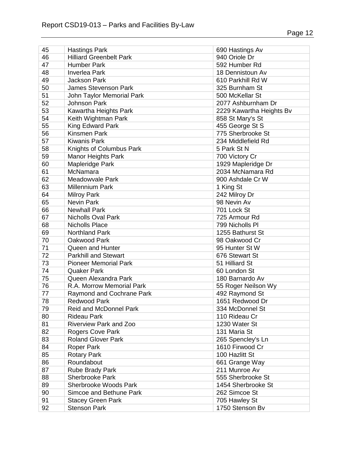| 45 | <b>Hastings Park</b>           | 690 Hastings Av          |
|----|--------------------------------|--------------------------|
| 46 | <b>Hilliard Greenbelt Park</b> | 940 Oriole Dr            |
| 47 | <b>Humber Park</b>             | 592 Humber Rd            |
| 48 | <b>Inverlea Park</b>           | 18 Dennistoun Av         |
| 49 | <b>Jackson Park</b>            | 610 Parkhill Rd W        |
| 50 | <b>James Stevenson Park</b>    | 325 Burnham St           |
| 51 | John Taylor Memorial Park      | 500 McKellar St          |
| 52 | <b>Johnson Park</b>            | 2077 Ashburnham Dr       |
| 53 | Kawartha Heights Park          | 2229 Kawartha Heights By |
| 54 | Keith Wightman Park            | 858 St Mary's St         |
| 55 | King Edward Park               | 455 George St S          |
| 56 | <b>Kinsmen Park</b>            | 775 Sherbrooke St        |
| 57 | <b>Kiwanis Park</b>            | 234 Middlefield Rd       |
| 58 | Knights of Columbus Park       | 5 Park St N              |
| 59 | <b>Manor Heights Park</b>      | 700 Victory Cr           |
| 60 | Mapleridge Park                | 1929 Mapleridge Dr       |
| 61 | McNamara                       | 2034 McNamara Rd         |
| 62 | Meadowvale Park                | 900 Ashdale Cr W         |
| 63 | <b>Millennium Park</b>         | 1 King St                |
| 64 | <b>Milroy Park</b>             | 242 Milroy Dr            |
| 65 | <b>Nevin Park</b>              | 98 Nevin Av              |
| 66 | <b>Newhall Park</b>            | 701 Lock St              |
| 67 | <b>Nicholls Oval Park</b>      | 725 Armour Rd            |
| 68 | <b>Nicholls Place</b>          | 799 Nicholls PI          |
| 69 | <b>Northland Park</b>          | 1255 Bathurst St         |
| 70 | Oakwood Park                   | 98 Oakwood Cr            |
| 71 | Queen and Hunter               | 95 Hunter St W           |
| 72 | <b>Parkhill and Stewart</b>    | 676 Stewart St           |
| 73 | <b>Pioneer Memorial Park</b>   | 51 Hilliard St           |
| 74 | <b>Quaker Park</b>             | 60 London St             |
| 75 | Queen Alexandra Park           | 180 Barnardo Av          |
| 76 | R.A. Morrow Memorial Park      |                          |
| 77 |                                | 55 Roger Neilson Wy      |
|    | Raymond and Cochrane Park      | 492 Raymond St           |
| 78 | <b>Redwood Park</b>            | 1651 Redwood Dr          |
| 79 | <b>Reid and McDonnel Park</b>  | 334 McDonnel St          |
| 80 | <b>Rideau Park</b>             | 110 Rideau Cr            |
| 81 | Riverview Park and Zoo         | 1230 Water St            |
| 82 | Rogers Cove Park               | 131 Maria St             |
| 83 | <b>Roland Glover Park</b>      | 265 Spencley's Ln        |
| 84 | Roper Park                     | 1610 Firwood Cr          |
| 85 | <b>Rotary Park</b>             | 100 Hazlitt St           |
| 86 | Roundabout                     | 661 Grange Way           |
| 87 | Rube Brady Park                | 211 Munroe Av            |
| 88 | <b>Sherbrooke Park</b>         | 555 Sherbrooke St        |
| 89 | <b>Sherbrooke Woods Park</b>   | 1454 Sherbrooke St       |
| 90 | Simcoe and Bethune Park        | 262 Simcoe St            |
| 91 | <b>Stacey Green Park</b>       | 705 Hawley St            |
| 92 | <b>Stenson Park</b>            | 1750 Stenson Bv          |